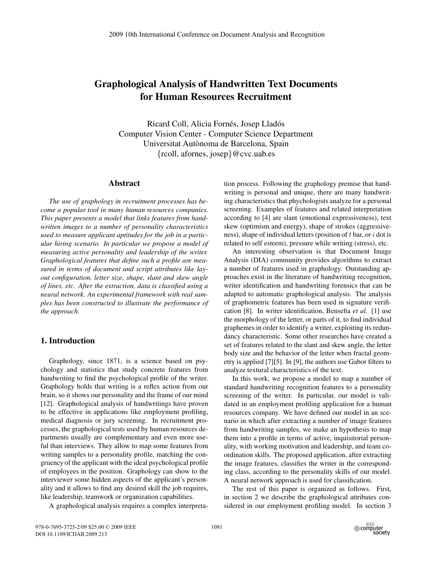# **Graphological Analysis of Handwritten Text Documents for Human Resources Recruitment**

Ricard Coll, Alicia Fornés, Josep Lladós Computer Vision Center - Computer Science Department Universitat Autònoma de Barcelona, Spain {rcoll, afornes, josep}@cvc.uab.es

### **Abstract**

*The use of graphology in recruitment processes has become a popular tool in many human resources companies. This paper presents a model that links features from handwritten images to a number of personality characteristics used to measure applicant aptitudes for the job in a particular hiring scenario. In particular we propose a model of measuring active personality and leadership of the writer. Graphological features that define such a profile are measured in terms of document and script attributes like layout configuration, letter size, shape, slant and skew angle of lines, etc. After the extraction, data is classified using a neural network. An experimental framework with real samples has been constructed to illustrate the performance of the approach.*

## **1. Introduction**

Graphology, since 1871, is a science based on psychology and statistics that study concrete features from handwriting to find the psychological profile of the writer. Graphology holds that writing is a reflex action from our brain, so it shows our personality and the frame of our mind [12]. Graphological analysis of handwritings have proven to be effective in applications like employment profiling, medical diagnosis or jury screening. In recruitment processes, the graphological tests used by human resources departments usually are complementary and even more useful than interviews. They allow to map some features from writing samples to a personality profile, matching the congruency of the applicant with the ideal psychological profile of employees in the position. Graphology can show to the interviewer some hidden aspects of the applicant's personality and it allows to find any desired skill the job requires, like leadership, teamwork or organization capabilities.

A graphological analysis requires a complex interpreta-

tion process. Following the graphology premise that handwriting is personal and unique, there are many handwriting characteristics that phychologists analyze for a personal screening. Examples of features and related interpretation according to [4] are slant (emotional expressiveness), text skew (optimism and energy), shape of strokes (aggressiveness), shape of individual letters (position of t bar, or i dot is related to self esteem), pressure while writing (stress), etc.

An interesting observation is that Document Image Analysis (DIA) community provides algorithms to extract a number of features used in graphology. Outstanding approaches exist in the literature of handwriting recognition, writer identification and handwriting forensics that can be adapted to automatic graphological analysis. The analysis of graphometric features has been used in signature verification [8]. In writer identification, Bensefia *et al.* [1] use the morphology of the letter, or parts of it, to find individual graphemes in order to identify a writer, exploiting its redundancy characteristic. Some other researches have created a set of features related to the slant and skew angle, the letter body size and the behavior of the letter when fractal geometry is applied [7][5]. In [9], the authors use Gabor filters to analyze textural characteristics of the text.

In this work, we propose a model to map a number of standard handwriting recognition features to a personality screening of the writer. In particular, our model is validated in an employment profiling application for a human resources company. We have defined our model in an scenario in which after extracting a number of image features from handwriting samples, we make an hypothesis to map them into a profile in terms of active, inquisitorial personality, with working motivation and leadership, and team coordination skills. The proposed application, after extracting the image features, classifies the writer in the corresponding class, according to the personality skills of our model. A neural network approach is used for classification.

The rest of this paper is organized as follows. First, in section 2 we describe the graphological attributes considered in our employment profiling model. In section 3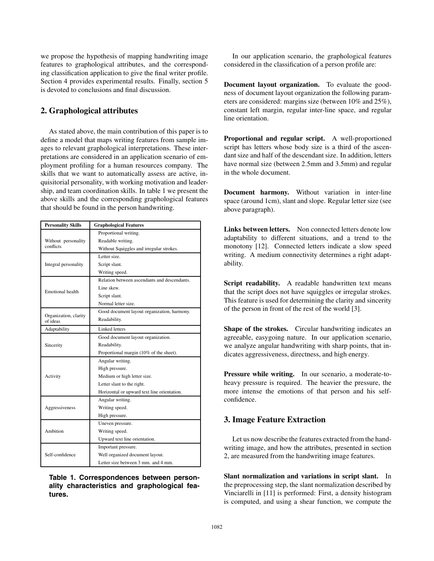we propose the hypothesis of mapping handwriting image features to graphological attributes, and the corresponding classification application to give the final writer profile. Section 4 provides experimental results. Finally, section 5 is devoted to conclusions and final discussion.

## **2. Graphological attributes**

As stated above, the main contribution of this paper is to define a model that maps writing features from sample images to relevant graphological interpretations. These interpretations are considered in an application scenario of employment profiling for a human resources company. The skills that we want to automatically assess are active, inquisitorial personality, with working motivation and leadership, and team coordination skills. In table 1 we present the above skills and the corresponding graphological features that should be found in the person handwriting.

| <b>Personality Skills</b>         | <b>Graphological Features</b>                |  |
|-----------------------------------|----------------------------------------------|--|
| Without personality<br>conflicts  | Proportional writing.                        |  |
|                                   | Readable writing.                            |  |
|                                   | Without Squiggles and irregular strokes.     |  |
| Integral personality              | Letter size.                                 |  |
|                                   | Script slant.                                |  |
|                                   | Writing speed.                               |  |
| Emotional health                  | Relation between ascendants and descendants. |  |
|                                   | Line skew.                                   |  |
|                                   | Script slant.                                |  |
|                                   | Normal letter size.                          |  |
| Organization, clarity<br>of ideas | Good document layout organization, harmony.  |  |
|                                   | Readability.                                 |  |
| Adaptability                      | Linked letters                               |  |
| Sincerity                         | Good document layout organization.           |  |
|                                   | Readability.                                 |  |
|                                   | Proportional margin (10% of the sheet).      |  |
| Activity                          | Angular writing.                             |  |
|                                   | High pressure.                               |  |
|                                   | Medium or high letter size.                  |  |
|                                   | Letter slant to the right.                   |  |
|                                   | Horizontal or upward text line orientation.  |  |
| Aggressiveness                    | Angular writing.                             |  |
|                                   | Writing speed.                               |  |
|                                   | High pressure.                               |  |
| Ambition                          | Uneven pressure.                             |  |
|                                   | Writing speed.                               |  |
|                                   | Upward text line orientation.                |  |
| Self-confidence                   | Important pressure.                          |  |
|                                   | Well organized document layout.              |  |
|                                   | Letter size between 3 mm, and 4 mm.          |  |

**Table 1. Correspondences between personality characteristics and graphological features.**

In our application scenario, the graphological features considered in the classification of a person profile are:

**Document layout organization.** To evaluate the goodness of document layout organization the following parameters are considered: margins size (between 10% and 25%), constant left margin, regular inter-line space, and regular line orientation.

**Proportional and regular script.** A well-proportioned script has letters whose body size is a third of the ascendant size and half of the descendant size. In addition, letters have normal size (between 2.5mm and 3.5mm) and regular in the whole document.

**Document harmony.** Without variation in inter-line space (around 1cm), slant and slope. Regular letter size (see above paragraph).

**Links between letters.** Non connected letters denote low adaptability to different situations, and a trend to the monotony [12]. Connected letters indicate a slow speed writing. A medium connectivity determines a right adaptability.

Script readability. A readable handwritten text means that the script does not have squiggles or irregular strokes. This feature is used for determining the clarity and sincerity of the person in front of the rest of the world [3].

**Shape of the strokes.** Circular handwriting indicates an agreeable, easygoing nature. In our application scenario, we analyze angular handwriting with sharp points, that indicates aggressiveness, directness, and high energy.

**Pressure while writing.** In our scenario, a moderate-toheavy pressure is required. The heavier the pressure, the more intense the emotions of that person and his selfconfidence.

## **3. Image Feature Extraction**

Let us now describe the features extracted from the handwriting image, and how the attributes, presented in section 2, are measured from the handwriting image features.

**Slant normalization and variations in script slant.** In the preprocessing step, the slant normalization described by Vinciarelli in [11] is performed: First, a density histogram is computed, and using a shear function, we compute the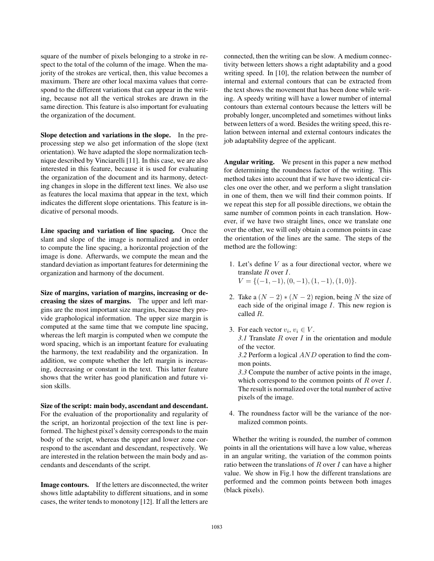square of the number of pixels belonging to a stroke in respect to the total of the column of the image. When the majority of the strokes are vertical, then, this value becomes a maximum. There are other local maxima values that correspond to the different variations that can appear in the writing, because not all the vertical strokes are drawn in the same direction. This feature is also important for evaluating the organization of the document.

**Slope detection and variations in the slope.** In the preprocessing step we also get information of the slope (text orientation). We have adapted the slope normalization technique described by Vinciarelli [11]. In this case, we are also interested in this feature, because it is used for evaluating the organization of the document and its harmony, detecting changes in slope in the different text lines. We also use as features the local maxima that appear in the text, which indicates the different slope orientations. This feature is indicative of personal moods.

**Line spacing and variation of line spacing.** Once the slant and slope of the image is normalized and in order to compute the line spacing, a horizontal projection of the image is done. Afterwards, we compute the mean and the standard deviation as important features for determining the organization and harmony of the document.

**Size of margins, variation of margins, increasing or decreasing the sizes of margins.** The upper and left margins are the most important size margins, because they provide graphological information. The upper size margin is computed at the same time that we compute line spacing, whereas the left margin is computed when we compute the word spacing, which is an important feature for evaluating the harmony, the text readability and the organization. In addition, we compute whether the left margin is increasing, decreasing or constant in the text. This latter feature shows that the writer has good planification and future vision skills.

**Size of the script: main body, ascendant and descendant.** For the evaluation of the proportionality and regularity of the script, an horizontal projection of the text line is performed. The highest pixel's density corresponds to the main body of the script, whereas the upper and lower zone correspond to the ascendant and descendant, respectively. We are interested in the relation between the main body and ascendants and descendants of the script.

**Image contours.** If the letters are disconnected, the writer shows little adaptability to different situations, and in some cases, the writer tends to monotony [12]. If all the letters are connected, then the writing can be slow. A medium connectivity between letters shows a right adaptability and a good writing speed. In [10], the relation between the number of internal and external contours that can be extracted from the text shows the movement that has been done while writing. A speedy writing will have a lower number of internal contours than external contours because the letters will be probably longer, uncompleted and sometimes without links between letters of a word. Besides the writing speed, this relation between internal and external contours indicates the job adaptability degree of the applicant.

**Angular writing.** We present in this paper a new method for determining the roundness factor of the writing. This method takes into account that if we have two identical circles one over the other, and we perform a slight translation in one of them, then we will find their common points. If we repeat this step for all possible directions, we obtain the same number of common points in each translation. However, if we have two straight lines, once we translate one over the other, we will only obtain a common points in case the orientation of the lines are the same. The steps of the method are the following:

- 1. Let's define  $V$  as a four directional vector, where we translate R over I.  $V = \{(-1, -1), (0, -1), (1, -1), (1, 0)\}.$
- 2. Take a  $(N-2)$  \*  $(N-2)$  region, being N the size of each side of the original image  $I$ . This new region is called R.
- 3. For each vector  $v_i, v_i \in V$ .

*3.1* Translate R over I in the orientation and module of the vector.

*3.2* Perform a logical AND operation to find the common points.

*3.3* Compute the number of active points in the image, which correspond to the common points of  $R$  over  $I$ . The result is normalized over the total number of active pixels of the image.

4. The roundness factor will be the variance of the normalized common points.

Whether the writing is rounded, the number of common points in all the orientations will have a low value, whereas in an angular writing, the variation of the common points ratio between the translations of  $R$  over  $I$  can have a higher value. We show in Fig.1 how the different translations are performed and the common points between both images (black pixels).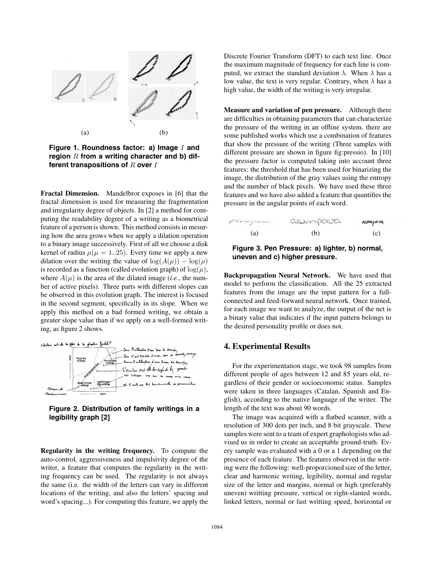

**Figure 1. Roundness factor: a) Image** I **and** region R from a writing character and b) dif**ferent transpositions of** R **over** I

**Fractal Dimension.** Mandelbrot exposes in [6] that the fractal dimension is used for measuring the fragmentation and irregularity degree of objects. In [2] a method for computing the readability degree of a writing as a biometrical feature of a person is shown. This method consists in mesuring how the area grows when we apply a dilation operation to a binary image successively. First of all we choose a disk kernel of radius  $\mu(\mu = 1..25)$ . Every time we apply a new dilation over the writing the value of  $\log(A(\mu)) - \log(\mu)$ is recorded as a function (called evolution graph) of  $log(\mu)$ , where  $A(\mu)$  is the area of the dilated image *(i.e.*, the number of active pixels). Three parts with different slopes can be observed in this evolution graph. The interest is focused in the second segment, specifically in its slope. When we apply this method on a bad formed writing, we obtain a greater slope value than if we apply on a well-formed writing, as figure 2 shows.



**Figure 2. Distribution of family writings in a legibility graph [2]**

**Regularity in the writing frequency.** To compute the auto-control, aggressiveness and impulsivity degree of the writer, a feature that computes the regularity in the writing frequency can be used. The regularity is not always the same (i.e. the width of the letters can vary in different locations of the writing, and also the letters' spacing and word's spacing...). For computing this feature, we apply the

Discrete Fourier Transform (DFT) to each text line. Once the maximum magnitude of frequency for each line is computed, we extract the standard deviation  $\lambda$ . When  $\lambda$  has a low value, the text is very regular. Contrary, when  $\lambda$  has a high value, the width of the writing is very irregular.

**Measure and variation of pen pressure.** Although there are difficulties in obtaining parameters that can characterize the pressure of the writing in an offline system, there are some published works which use a combination of features that show the pressure of the writing (Three samples with different pressure are shown in figure fig:pressio). In [10] the pressure factor is computed taking into account three features: the threshold that has been used for binarizing the image, the distribution of the gray values using the entropy and the number of black pixels. We have used these three features and we have also added a feature that quantifies the pressure in the angular points of each word.

| $000 - \beta - \gamma$ | acompava | acampava |
|------------------------|----------|----------|
| (a)                    | (b)      | (c)      |

#### **Figure 3. Pen Pressure: a) lighter, b) normal, uneven and c) higher pressure.**

**Backpropagation Neural Network.** We have used that model to perform the classification. All the 25 extracted features from the image are the input pattern for a fullconnected and feed-forward neural network. Once trained, for each image we want to analyze, the output of the net is a binary value that indicates if the input pattern belongs to the desired personality profile or does not.

#### **4. Experimental Results**

For the experimentation stage, we took 98 samples from different people of ages between 12 and 85 years old, regardless of their gender or socioeconomic status. Samples were taken in three languages (Catalan, Spanish and English), according to the native language of the writer. The length of the text was about 90 words.

The image was acquired with a flatbed scanner, with a resolution of 300 dots per inch, and 8 bit grayscale. These samples were sent to a team of expert graphologists who advised us in order to create an acceptable ground-truth. Every sample was evaluated with a 0 or a 1 depending on the presence of each feature. The features observed in the writing were the following: well-proporcioned size of the letter, clear and harmonic writing, legibility, normal and regular size of the letter and margins, normal or high (preferably uneven) writting pressure, vertical or right-slanted words, linked letters, normal or fast writting speed, horizontal or